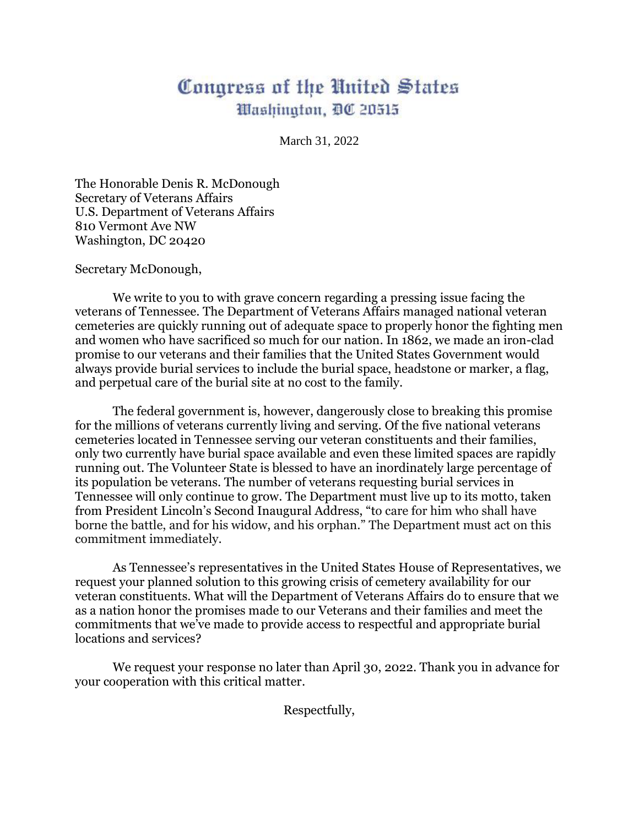## Congress of the United States Washington, DC 20515

March 31, 2022

The Honorable Denis R. McDonough Secretary of Veterans Affairs U.S. Department of Veterans Affairs 810 Vermont Ave NW Washington, DC 20420

Secretary McDonough,

We write to you to with grave concern regarding a pressing issue facing the veterans of Tennessee. The Department of Veterans Affairs managed national veteran cemeteries are quickly running out of adequate space to properly honor the fighting men and women who have sacrificed so much for our nation. In 1862, we made an iron-clad promise to our veterans and their families that the United States Government would always provide burial services to include the burial space, headstone or marker, a flag, and perpetual care of the burial site at no cost to the family.

The federal government is, however, dangerously close to breaking this promise for the millions of veterans currently living and serving. Of the five national veterans cemeteries located in Tennessee serving our veteran constituents and their families, only two currently have burial space available and even these limited spaces are rapidly running out. The Volunteer State is blessed to have an inordinately large percentage of its population be veterans. The number of veterans requesting burial services in Tennessee will only continue to grow. The Department must live up to its motto, taken from President Lincoln's Second Inaugural Address, "to care for him who shall have borne the battle, and for his widow, and his orphan." The Department must act on this commitment immediately.

As Tennessee's representatives in the United States House of Representatives, we request your planned solution to this growing crisis of cemetery availability for our veteran constituents. What will the Department of Veterans Affairs do to ensure that we as a nation honor the promises made to our Veterans and their families and meet the commitments that we've made to provide access to respectful and appropriate burial locations and services?

We request your response no later than April 30, 2022. Thank you in advance for your cooperation with this critical matter.

Respectfully,